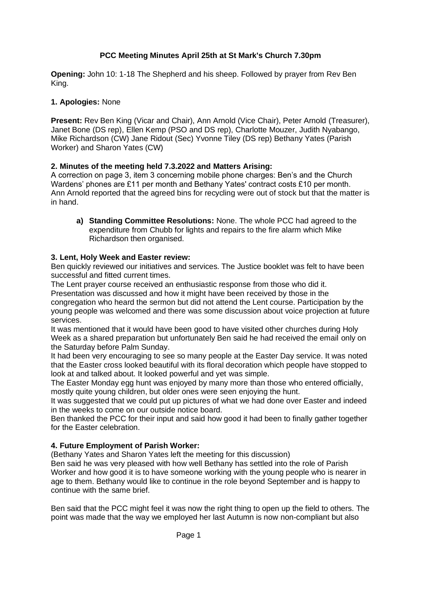# **PCC Meeting Minutes April 25th at St Mark's Church 7.30pm**

**Opening:** John 10: 1-18 The Shepherd and his sheep. Followed by prayer from Rev Ben King.

### **1. Apologies:** None

**Present:** Rev Ben King (Vicar and Chair), Ann Arnold (Vice Chair), Peter Arnold (Treasurer), Janet Bone (DS rep), Ellen Kemp (PSO and DS rep), Charlotte Mouzer, Judith Nyabango, Mike Richardson (CW) Jane Ridout (Sec) Yvonne Tiley (DS rep) Bethany Yates (Parish Worker) and Sharon Yates (CW)

# **2. Minutes of the meeting held 7.3.2022 and Matters Arising:**

A correction on page 3, item 3 concerning mobile phone charges: Ben's and the Church Wardens' phones are £11 per month and Bethany Yates' contract costs £10 per month. Ann Arnold reported that the agreed bins for recycling were out of stock but that the matter is in hand.

**a) Standing Committee Resolutions:** None. The whole PCC had agreed to the expenditure from Chubb for lights and repairs to the fire alarm which Mike Richardson then organised.

### **3. Lent, Holy Week and Easter review:**

Ben quickly reviewed our initiatives and services. The Justice booklet was felt to have been successful and fitted current times.

The Lent prayer course received an enthusiastic response from those who did it.

Presentation was discussed and how it might have been received by those in the congregation who heard the sermon but did not attend the Lent course. Participation by the young people was welcomed and there was some discussion about voice projection at future services.

It was mentioned that it would have been good to have visited other churches during Holy Week as a shared preparation but unfortunately Ben said he had received the email only on the Saturday before Palm Sunday.

It had been very encouraging to see so many people at the Easter Day service. It was noted that the Easter cross looked beautiful with its floral decoration which people have stopped to look at and talked about. It looked powerful and yet was simple.

The Easter Monday egg hunt was enjoyed by many more than those who entered officially, mostly quite young children, but older ones were seen enjoying the hunt.

It was suggested that we could put up pictures of what we had done over Easter and indeed in the weeks to come on our outside notice board.

Ben thanked the PCC for their input and said how good it had been to finally gather together for the Easter celebration.

### **4. Future Employment of Parish Worker:**

(Bethany Yates and Sharon Yates left the meeting for this discussion)

Ben said he was very pleased with how well Bethany has settled into the role of Parish Worker and how good it is to have someone working with the young people who is nearer in age to them. Bethany would like to continue in the role beyond September and is happy to continue with the same brief.

Ben said that the PCC might feel it was now the right thing to open up the field to others. The point was made that the way we employed her last Autumn is now non-compliant but also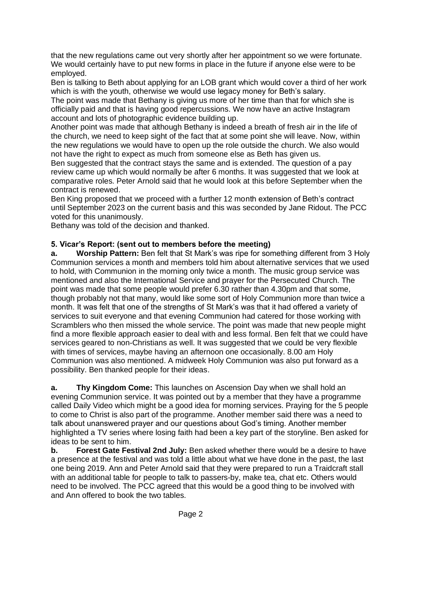that the new regulations came out very shortly after her appointment so we were fortunate. We would certainly have to put new forms in place in the future if anyone else were to be employed.

Ben is talking to Beth about applying for an LOB grant which would cover a third of her work which is with the youth, otherwise we would use legacy money for Beth's salary.

The point was made that Bethany is giving us more of her time than that for which she is officially paid and that is having good repercussions. We now have an active Instagram account and lots of photographic evidence building up.

Another point was made that although Bethany is indeed a breath of fresh air in the life of the church, we need to keep sight of the fact that at some point she will leave. Now, within the new regulations we would have to open up the role outside the church. We also would not have the right to expect as much from someone else as Beth has given us.

Ben suggested that the contract stays the same and is extended. The question of a pay review came up which would normally be after 6 months. It was suggested that we look at comparative roles. Peter Arnold said that he would look at this before September when the contract is renewed.

Ben King proposed that we proceed with a further 12 month extension of Beth's contract until September 2023 on the current basis and this was seconded by Jane Ridout. The PCC voted for this unanimously.

Bethany was told of the decision and thanked.

# **5. Vicar's Report: (sent out to members before the meeting)**

**a. Worship Pattern:** Ben felt that St Mark's was ripe for something different from 3 Holy Communion services a month and members told him about alternative services that we used to hold, with Communion in the morning only twice a month. The music group service was mentioned and also the International Service and prayer for the Persecuted Church. The point was made that some people would prefer 6.30 rather than 4.30pm and that some, though probably not that many, would like some sort of Holy Communion more than twice a month. It was felt that one of the strengths of St Mark's was that it had offered a variety of services to suit everyone and that evening Communion had catered for those working with Scramblers who then missed the whole service. The point was made that new people might find a more flexible approach easier to deal with and less formal. Ben felt that we could have services geared to non-Christians as well. It was suggested that we could be very flexible with times of services, maybe having an afternoon one occasionally. 8.00 am Holy Communion was also mentioned. A midweek Holy Communion was also put forward as a possibility. Ben thanked people for their ideas.

**a. Thy Kingdom Come:** This launches on Ascension Day when we shall hold an evening Communion service. It was pointed out by a member that they have a programme called Daily Video which might be a good idea for morning services. Praying for the 5 people to come to Christ is also part of the programme. Another member said there was a need to talk about unanswered prayer and our questions about God's timing. Another member highlighted a TV series where losing faith had been a key part of the storyline. Ben asked for ideas to be sent to him.

**b. Forest Gate Festival 2nd July:** Ben asked whether there would be a desire to have a presence at the festival and was told a little about what we have done in the past, the last one being 2019. Ann and Peter Arnold said that they were prepared to run a Traidcraft stall with an additional table for people to talk to passers-by, make tea, chat etc. Others would need to be involved. The PCC agreed that this would be a good thing to be involved with and Ann offered to book the two tables.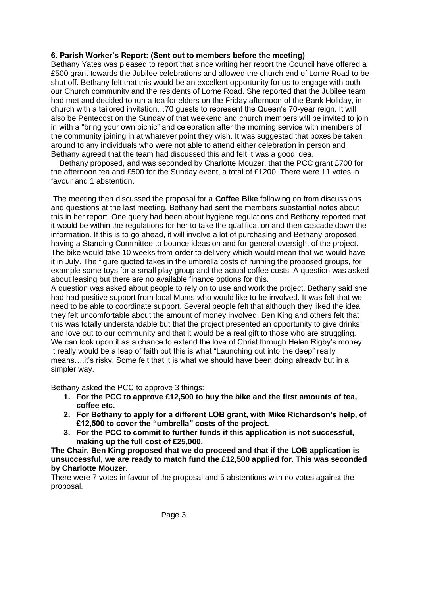### **6. Parish Worker's Report: (Sent out to members before the meeting)**

Bethany Yates was pleased to report that since writing her report the Council have offered a £500 grant towards the Jubilee celebrations and allowed the church end of Lorne Road to be shut off. Bethany felt that this would be an excellent opportunity for us to engage with both our Church community and the residents of Lorne Road. She reported that the Jubilee team had met and decided to run a tea for elders on the Friday afternoon of the Bank Holiday, in church with a tailored invitation…70 guests to represent the Queen's 70-year reign. It will also be Pentecost on the Sunday of that weekend and church members will be invited to join in with a "bring your own picnic" and celebration after the morning service with members of the community joining in at whatever point they wish. It was suggested that boxes be taken around to any individuals who were not able to attend either celebration in person and Bethany agreed that the team had discussed this and felt it was a good idea.

 Bethany proposed, and was seconded by Charlotte Mouzer, that the PCC grant £700 for the afternoon tea and £500 for the Sunday event, a total of £1200. There were 11 votes in favour and 1 abstention.

The meeting then discussed the proposal for a **Coffee Bike** following on from discussions and questions at the last meeting. Bethany had sent the members substantial notes about this in her report. One query had been about hygiene regulations and Bethany reported that it would be within the regulations for her to take the qualification and then cascade down the information. If this is to go ahead, it will involve a lot of purchasing and Bethany proposed having a Standing Committee to bounce ideas on and for general oversight of the project. The bike would take 10 weeks from order to delivery which would mean that we would have it in July. The figure quoted takes in the umbrella costs of running the proposed groups, for example some toys for a small play group and the actual coffee costs. A question was asked about leasing but there are no available finance options for this.

A question was asked about people to rely on to use and work the project. Bethany said she had had positive support from local Mums who would like to be involved. It was felt that we need to be able to coordinate support. Several people felt that although they liked the idea, they felt uncomfortable about the amount of money involved. Ben King and others felt that this was totally understandable but that the project presented an opportunity to give drinks and love out to our community and that it would be a real gift to those who are struggling. We can look upon it as a chance to extend the love of Christ through Helen Rigby's money. It really would be a leap of faith but this is what "Launching out into the deep" really means….it's risky. Some felt that it is what we should have been doing already but in a simpler way.

Bethany asked the PCC to approve 3 things:

- **1. For the PCC to approve £12,500 to buy the bike and the first amounts of tea, coffee etc.**
- **2. For Bethany to apply for a different LOB grant, with Mike Richardson's help, of £12,500 to cover the "umbrella" costs of the project.**
- **3. For the PCC to commit to further funds if this application is not successful, making up the full cost of £25,000.**

**The Chair, Ben King proposed that we do proceed and that if the LOB application is unsuccessful, we are ready to match fund the £12,500 applied for. This was seconded by Charlotte Mouzer.**

There were 7 votes in favour of the proposal and 5 abstentions with no votes against the proposal.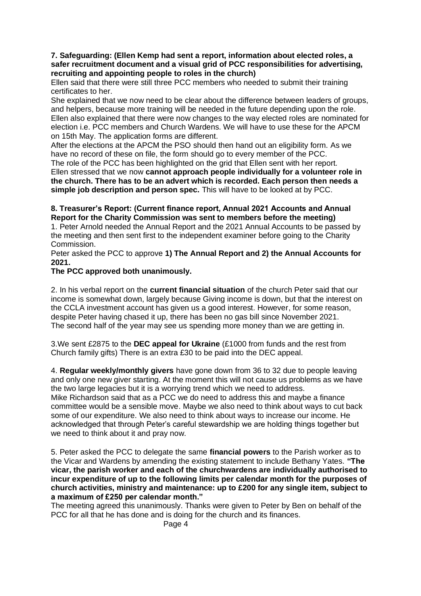#### **7. Safeguarding: (Ellen Kemp had sent a report, information about elected roles, a safer recruitment document and a visual grid of PCC responsibilities for advertising, recruiting and appointing people to roles in the church)**

Ellen said that there were still three PCC members who needed to submit their training certificates to her.

She explained that we now need to be clear about the difference between leaders of groups, and helpers, because more training will be needed in the future depending upon the role. Ellen also explained that there were now changes to the way elected roles are nominated for election i.e. PCC members and Church Wardens. We will have to use these for the APCM on 15th May. The application forms are different.

After the elections at the APCM the PSO should then hand out an eligibility form. As we have no record of these on file, the form should go to every member of the PCC.

The role of the PCC has been highlighted on the grid that Ellen sent with her report. Ellen stressed that we now **cannot approach people individually for a volunteer role in the church. There has to be an advert which is recorded. Each person then needs a simple job description and person spec.** This will have to be looked at by PCC.

### **8. Treasurer's Report: (Current finance report, Annual 2021 Accounts and Annual Report for the Charity Commission was sent to members before the meeting)**

1. Peter Arnold needed the Annual Report and the 2021 Annual Accounts to be passed by the meeting and then sent first to the independent examiner before going to the Charity Commission.

Peter asked the PCC to approve **1) The Annual Report and 2) the Annual Accounts for 2021.**

# **The PCC approved both unanimously.**

2. In his verbal report on the **current financial situation** of the church Peter said that our income is somewhat down, largely because Giving income is down, but that the interest on the CCLA investment account has given us a good interest. However, for some reason, despite Peter having chased it up, there has been no gas bill since November 2021. The second half of the year may see us spending more money than we are getting in.

3.We sent £2875 to the **DEC appeal for Ukraine** (£1000 from funds and the rest from Church family gifts) There is an extra £30 to be paid into the DEC appeal.

4. **Regular weekly/monthly givers** have gone down from 36 to 32 due to people leaving and only one new giver starting. At the moment this will not cause us problems as we have the two large legacies but it is a worrying trend which we need to address. Mike Richardson said that as a PCC we do need to address this and maybe a finance committee would be a sensible move. Maybe we also need to think about ways to cut back some of our expenditure. We also need to think about ways to increase our income. He acknowledged that through Peter's careful stewardship we are holding things together but we need to think about it and pray now.

5. Peter asked the PCC to delegate the same **financial powers** to the Parish worker as to the Vicar and Wardens by amending the existing statement to include Bethany Yates. **"The vicar, the parish worker and each of the churchwardens are individually authorised to incur expenditure of up to the following limits per calendar month for the purposes of church activities, ministry and maintenance: up to £200 for any single item, subject to a maximum of £250 per calendar month."**

The meeting agreed this unanimously. Thanks were given to Peter by Ben on behalf of the PCC for all that he has done and is doing for the church and its finances.